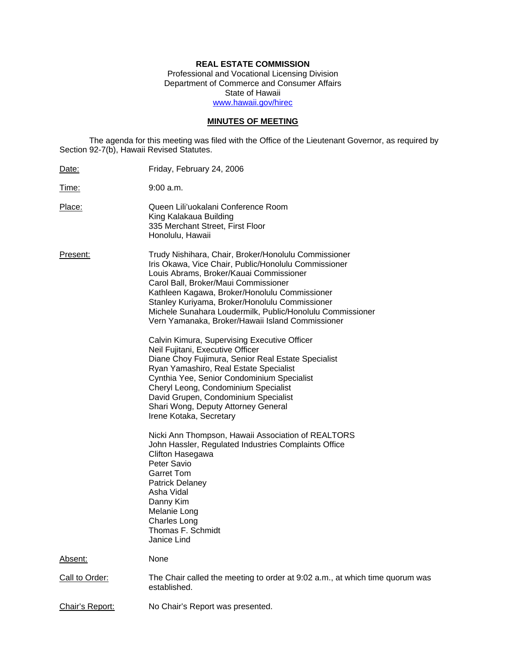# **REAL ESTATE COMMISSION**

Professional and Vocational Licensing Division Department of Commerce and Consumer Affairs State of Hawaii www.hawaii.gov/hirec

# **MINUTES OF MEETING**

The agenda for this meeting was filed with the Office of the Lieutenant Governor, as required by Section 92-7(b), Hawaii Revised Statutes.

| Date:           | Friday, February 24, 2006                                                                                                                                                                                                                                                                                                                                                                                                                                                                                                                                                                                                                                                                                                                                                                                                                                                                                                                                                                                                                                                                                     |
|-----------------|---------------------------------------------------------------------------------------------------------------------------------------------------------------------------------------------------------------------------------------------------------------------------------------------------------------------------------------------------------------------------------------------------------------------------------------------------------------------------------------------------------------------------------------------------------------------------------------------------------------------------------------------------------------------------------------------------------------------------------------------------------------------------------------------------------------------------------------------------------------------------------------------------------------------------------------------------------------------------------------------------------------------------------------------------------------------------------------------------------------|
| Time:           | 9:00 a.m.                                                                                                                                                                                                                                                                                                                                                                                                                                                                                                                                                                                                                                                                                                                                                                                                                                                                                                                                                                                                                                                                                                     |
| Place:          | Queen Lili'uokalani Conference Room<br>King Kalakaua Building<br>335 Merchant Street, First Floor<br>Honolulu, Hawaii                                                                                                                                                                                                                                                                                                                                                                                                                                                                                                                                                                                                                                                                                                                                                                                                                                                                                                                                                                                         |
| Present:        | Trudy Nishihara, Chair, Broker/Honolulu Commissioner<br>Iris Okawa, Vice Chair, Public/Honolulu Commissioner<br>Louis Abrams, Broker/Kauai Commissioner<br>Carol Ball, Broker/Maui Commissioner<br>Kathleen Kagawa, Broker/Honolulu Commissioner<br>Stanley Kuriyama, Broker/Honolulu Commissioner<br>Michele Sunahara Loudermilk, Public/Honolulu Commissioner<br>Vern Yamanaka, Broker/Hawaii Island Commissioner<br>Calvin Kimura, Supervising Executive Officer<br>Neil Fujitani, Executive Officer<br>Diane Choy Fujimura, Senior Real Estate Specialist<br>Ryan Yamashiro, Real Estate Specialist<br>Cynthia Yee, Senior Condominium Specialist<br>Cheryl Leong, Condominium Specialist<br>David Grupen, Condominium Specialist<br>Shari Wong, Deputy Attorney General<br>Irene Kotaka, Secretary<br>Nicki Ann Thompson, Hawaii Association of REALTORS<br>John Hassler, Regulated Industries Complaints Office<br>Clifton Hasegawa<br>Peter Savio<br><b>Garret Tom</b><br><b>Patrick Delaney</b><br>Asha Vidal<br>Danny Kim<br>Melanie Long<br><b>Charles Long</b><br>Thomas F. Schmidt<br>Janice Lind |
| Absent:         | None                                                                                                                                                                                                                                                                                                                                                                                                                                                                                                                                                                                                                                                                                                                                                                                                                                                                                                                                                                                                                                                                                                          |
| Call to Order:  | The Chair called the meeting to order at 9:02 a.m., at which time quorum was<br>established.                                                                                                                                                                                                                                                                                                                                                                                                                                                                                                                                                                                                                                                                                                                                                                                                                                                                                                                                                                                                                  |
| Chair's Report: | No Chair's Report was presented.                                                                                                                                                                                                                                                                                                                                                                                                                                                                                                                                                                                                                                                                                                                                                                                                                                                                                                                                                                                                                                                                              |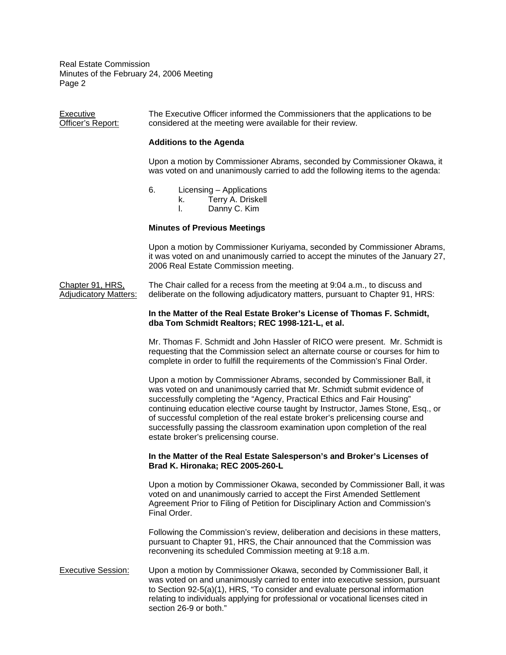Executive The Executive Officer informed the Commissioners that the applications to be<br>Officer's Report: considered at the meeting were available for their review. considered at the meeting were available for their review.

### **Additions to the Agenda**

Upon a motion by Commissioner Abrams, seconded by Commissioner Okawa, it was voted on and unanimously carried to add the following items to the agenda:

6. Licensing – Applications

k. Terry A. Driskell

l. Danny C. Kim

## **Minutes of Previous Meetings**

Upon a motion by Commissioner Kuriyama, seconded by Commissioner Abrams, it was voted on and unanimously carried to accept the minutes of the January 27, 2006 Real Estate Commission meeting.

Chapter 91, HRS, The Chair called for a recess from the meeting at 9:04 a.m., to discuss and Adjudicatory Matters: deliberate on the following adjudicatory matters, pursuant to Chapter 91, HRS:

#### **In the Matter of the Real Estate Broker's License of Thomas F. Schmidt, dba Tom Schmidt Realtors; REC 1998-121-L, et al.**

Mr. Thomas F. Schmidt and John Hassler of RICO were present. Mr. Schmidt is requesting that the Commission select an alternate course or courses for him to complete in order to fulfill the requirements of the Commission's Final Order.

Upon a motion by Commissioner Abrams, seconded by Commissioner Ball, it was voted on and unanimously carried that Mr. Schmidt submit evidence of successfully completing the "Agency, Practical Ethics and Fair Housing" continuing education elective course taught by Instructor, James Stone, Esq., or of successful completion of the real estate broker's prelicensing course and successfully passing the classroom examination upon completion of the real estate broker's prelicensing course.

### **In the Matter of the Real Estate Salesperson's and Broker's Licenses of Brad K. Hironaka; REC 2005-260-L**

Upon a motion by Commissioner Okawa, seconded by Commissioner Ball, it was voted on and unanimously carried to accept the First Amended Settlement Agreement Prior to Filing of Petition for Disciplinary Action and Commission's Final Order.

Following the Commission's review, deliberation and decisions in these matters, pursuant to Chapter 91, HRS, the Chair announced that the Commission was reconvening its scheduled Commission meeting at 9:18 a.m.

# Executive Session: Upon a motion by Commissioner Okawa, seconded by Commissioner Ball, it was voted on and unanimously carried to enter into executive session, pursuant to Section 92-5(a)(1), HRS, "To consider and evaluate personal information relating to individuals applying for professional or vocational licenses cited in section 26-9 or both."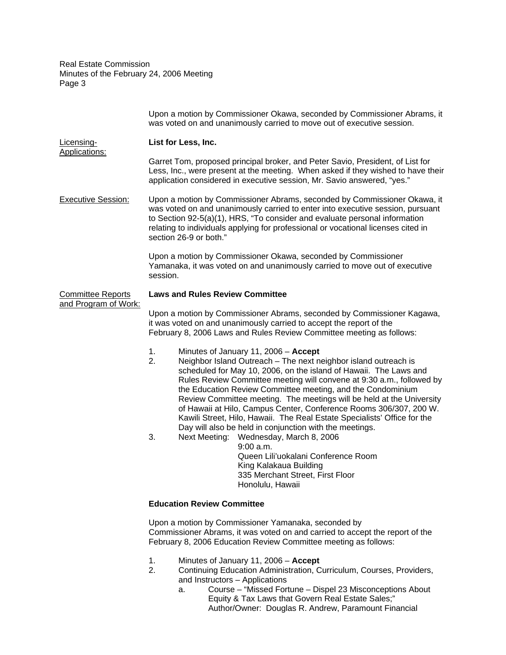|                                                  | Upon a motion by Commissioner Okawa, seconded by Commissioner Abrams, it<br>was voted on and unanimously carried to move out of executive session.                                                                                                                                                                                                                                                                                                                                                                                                                                                                                                                                                                                                                                                           |
|--------------------------------------------------|--------------------------------------------------------------------------------------------------------------------------------------------------------------------------------------------------------------------------------------------------------------------------------------------------------------------------------------------------------------------------------------------------------------------------------------------------------------------------------------------------------------------------------------------------------------------------------------------------------------------------------------------------------------------------------------------------------------------------------------------------------------------------------------------------------------|
| Licensing-<br>Applications:                      | List for Less, Inc.                                                                                                                                                                                                                                                                                                                                                                                                                                                                                                                                                                                                                                                                                                                                                                                          |
|                                                  | Garret Tom, proposed principal broker, and Peter Savio, President, of List for<br>Less, Inc., were present at the meeting. When asked if they wished to have their<br>application considered in executive session, Mr. Savio answered, "yes."                                                                                                                                                                                                                                                                                                                                                                                                                                                                                                                                                                |
| <b>Executive Session:</b>                        | Upon a motion by Commissioner Abrams, seconded by Commissioner Okawa, it<br>was voted on and unanimously carried to enter into executive session, pursuant<br>to Section 92-5(a)(1), HRS, "To consider and evaluate personal information<br>relating to individuals applying for professional or vocational licenses cited in<br>section 26-9 or both."                                                                                                                                                                                                                                                                                                                                                                                                                                                      |
|                                                  | Upon a motion by Commissioner Okawa, seconded by Commissioner<br>Yamanaka, it was voted on and unanimously carried to move out of executive<br>session.                                                                                                                                                                                                                                                                                                                                                                                                                                                                                                                                                                                                                                                      |
| <b>Committee Reports</b><br>and Program of Work: | <b>Laws and Rules Review Committee</b>                                                                                                                                                                                                                                                                                                                                                                                                                                                                                                                                                                                                                                                                                                                                                                       |
|                                                  | Upon a motion by Commissioner Abrams, seconded by Commissioner Kagawa,<br>it was voted on and unanimously carried to accept the report of the<br>February 8, 2006 Laws and Rules Review Committee meeting as follows:                                                                                                                                                                                                                                                                                                                                                                                                                                                                                                                                                                                        |
|                                                  | 1.<br>Minutes of January 11, 2006 - Accept<br>2.<br>Neighbor Island Outreach - The next neighbor island outreach is<br>scheduled for May 10, 2006, on the island of Hawaii. The Laws and<br>Rules Review Committee meeting will convene at 9:30 a.m., followed by<br>the Education Review Committee meeting, and the Condominium<br>Review Committee meeting. The meetings will be held at the University<br>of Hawaii at Hilo, Campus Center, Conference Rooms 306/307, 200 W.<br>Kawili Street, Hilo, Hawaii. The Real Estate Specialists' Office for the<br>Day will also be held in conjunction with the meetings.<br>3.<br>Next Meeting: Wednesday, March 8, 2006<br>9:00 a.m.<br>Queen Lili'uokalani Conference Room<br>King Kalakaua Building<br>335 Merchant Street, First Floor<br>Honolulu, Hawaii |
|                                                  | <b>Education Review Committee</b>                                                                                                                                                                                                                                                                                                                                                                                                                                                                                                                                                                                                                                                                                                                                                                            |
|                                                  | Upon a motion by Commissioner Yamanaka, seconded by<br>Commissioner Abrams, it was voted on and carried to accept the report of the<br>February 8, 2006 Education Review Committee meeting as follows:                                                                                                                                                                                                                                                                                                                                                                                                                                                                                                                                                                                                       |

- 1. Minutes of January 11, 2006 **Accept**
- 2. Continuing Education Administration, Curriculum, Courses, Providers, and Instructors – Applications
	- a. Course "Missed Fortune Dispel 23 Misconceptions About Equity & Tax Laws that Govern Real Estate Sales;" Author/Owner: Douglas R. Andrew, Paramount Financial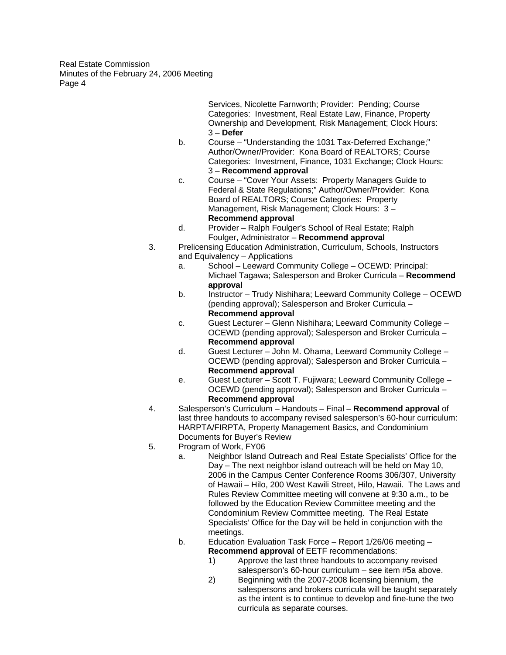> Services, Nicolette Farnworth; Provider: Pending; Course Categories: Investment, Real Estate Law, Finance, Property Ownership and Development, Risk Management; Clock Hours: 3 – **Defer**

- b. Course "Understanding the 1031 Tax-Deferred Exchange;" Author/Owner/Provider: Kona Board of REALTORS; Course Categories: Investment, Finance, 1031 Exchange; Clock Hours: 3 – **Recommend approval**
- c. Course "Cover Your Assets: Property Managers Guide to Federal & State Regulations;" Author/Owner/Provider: Kona Board of REALTORS; Course Categories: Property Management, Risk Management; Clock Hours: 3 – **Recommend approval**
- d. Provider Ralph Foulger's School of Real Estate; Ralph Foulger, Administrator – **Recommend approval**
- 3. Prelicensing Education Administration, Curriculum, Schools, Instructors and Equivalency – Applications
	- a. School Leeward Community College OCEWD: Principal: Michael Tagawa; Salesperson and Broker Curricula – **Recommend approval**
	- b. Instructor Trudy Nishihara; Leeward Community College OCEWD (pending approval); Salesperson and Broker Curricula – **Recommend approval**
	- c. Guest Lecturer Glenn Nishihara; Leeward Community College OCEWD (pending approval); Salesperson and Broker Curricula – **Recommend approval**
	- d. Guest Lecturer John M. Ohama, Leeward Community College OCEWD (pending approval); Salesperson and Broker Curricula – **Recommend approval**
	- e. Guest Lecturer Scott T. Fujiwara; Leeward Community College OCEWD (pending approval); Salesperson and Broker Curricula – **Recommend approval**
- 4. Salesperson's Curriculum Handouts Final **Recommend approval** of last three handouts to accompany revised salesperson's 60-hour curriculum: HARPTA/FIRPTA, Property Management Basics, and Condominium Documents for Buyer's Review
- 5. Program of Work, FY06
	- a. Neighbor Island Outreach and Real Estate Specialists' Office for the Day – The next neighbor island outreach will be held on May 10, 2006 in the Campus Center Conference Rooms 306/307, University of Hawaii – Hilo, 200 West Kawili Street, Hilo, Hawaii. The Laws and Rules Review Committee meeting will convene at 9:30 a.m., to be followed by the Education Review Committee meeting and the Condominium Review Committee meeting. The Real Estate Specialists' Office for the Day will be held in conjunction with the meetings.
	- b. Education Evaluation Task Force Report 1/26/06 meeting **Recommend approval** of EETF recommendations:
		- 1) Approve the last three handouts to accompany revised salesperson's 60-hour curriculum – see item #5a above.
		- 2) Beginning with the 2007-2008 licensing biennium, the salespersons and brokers curricula will be taught separately as the intent is to continue to develop and fine-tune the two curricula as separate courses.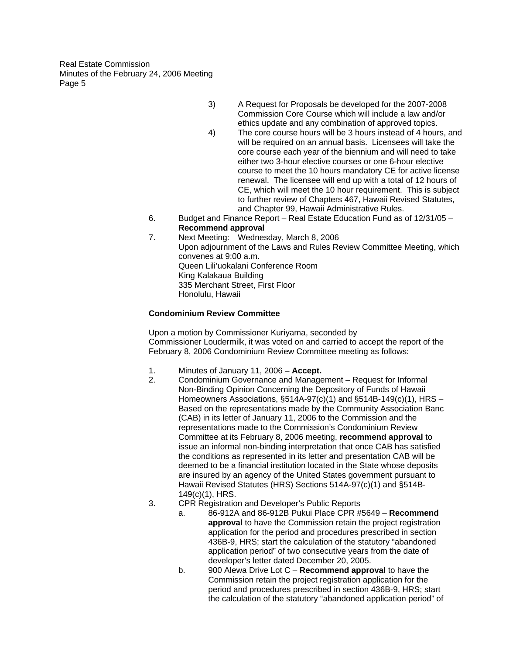- 3) A Request for Proposals be developed for the 2007-2008 Commission Core Course which will include a law and/or ethics update and any combination of approved topics.
- 4) The core course hours will be 3 hours instead of 4 hours, and will be required on an annual basis. Licensees will take the core course each year of the biennium and will need to take either two 3-hour elective courses or one 6-hour elective course to meet the 10 hours mandatory CE for active license renewal. The licensee will end up with a total of 12 hours of CE, which will meet the 10 hour requirement. This is subject to further review of Chapters 467, Hawaii Revised Statutes, and Chapter 99, Hawaii Administrative Rules.
- 6. Budget and Finance Report Real Estate Education Fund as of 12/31/05 **Recommend approval**
- 7. Next Meeting: Wednesday, March 8, 2006 Upon adjournment of the Laws and Rules Review Committee Meeting, which convenes at 9:00 a.m. Queen Lili'uokalani Conference Room King Kalakaua Building 335 Merchant Street, First Floor Honolulu, Hawaii

# **Condominium Review Committee**

Upon a motion by Commissioner Kuriyama, seconded by Commissioner Loudermilk, it was voted on and carried to accept the report of the February 8, 2006 Condominium Review Committee meeting as follows:

- 1. Minutes of January 11, 2006 **Accept.**
- 2. Condominium Governance and Management Request for Informal Non-Binding Opinion Concerning the Depository of Funds of Hawaii Homeowners Associations, §514A-97(c)(1) and §514B-149(c)(1), HRS – Based on the representations made by the Community Association Banc (CAB) in its letter of January 11, 2006 to the Commission and the representations made to the Commission's Condominium Review Committee at its February 8, 2006 meeting, **recommend approval** to issue an informal non-binding interpretation that once CAB has satisfied the conditions as represented in its letter and presentation CAB will be deemed to be a financial institution located in the State whose deposits are insured by an agency of the United States government pursuant to Hawaii Revised Statutes (HRS) Sections 514A-97(c)(1) and §514B-149(c)(1), HRS.
- 3. CPR Registration and Developer's Public Reports
	- a. 86-912A and 86-912B Pukui Place CPR #5649 **Recommend approval** to have the Commission retain the project registration application for the period and procedures prescribed in section 436B-9, HRS; start the calculation of the statutory "abandoned application period" of two consecutive years from the date of developer's letter dated December 20, 2005.
	- b. 900 Alewa Drive Lot C **Recommend approval** to have the Commission retain the project registration application for the period and procedures prescribed in section 436B-9, HRS; start the calculation of the statutory "abandoned application period" of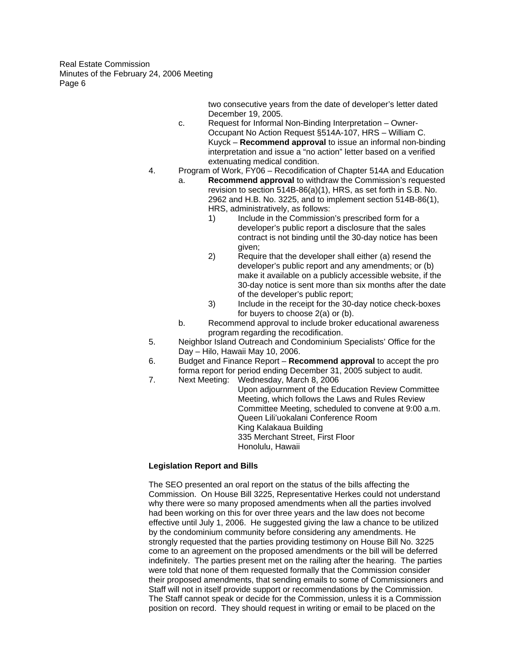> two consecutive years from the date of developer's letter dated December 19, 2005.

- c. Request for Informal Non-Binding Interpretation Owner-Occupant No Action Request §514A-107, HRS – William C. Kuyck – **Recommend approval** to issue an informal non-binding interpretation and issue a "no action" letter based on a verified extenuating medical condition.
- 4. Program of Work, FY06 Recodification of Chapter 514A and Education
	- a. **Recommend approval** to withdraw the Commission's requested revision to section 514B-86(a)(1), HRS, as set forth in S.B. No. 2962 and H.B. No. 3225, and to implement section 514B-86(1), HRS, administratively, as follows:
		- 1) Include in the Commission's prescribed form for a developer's public report a disclosure that the sales contract is not binding until the 30-day notice has been given;
		- 2) Require that the developer shall either (a) resend the developer's public report and any amendments; or (b) make it available on a publicly accessible website, if the 30-day notice is sent more than six months after the date of the developer's public report;
		- 3) Include in the receipt for the 30-day notice check-boxes for buyers to choose 2(a) or (b).
	- b. Recommend approval to include broker educational awareness program regarding the recodification.
- 5. Neighbor Island Outreach and Condominium Specialists' Office for the Day – Hilo, Hawaii May 10, 2006.
- 6. Budget and Finance Report **Recommend approval** to accept the pro forma report for period ending December 31, 2005 subject to audit.
- 7. Next Meeting: Wednesday, March 8, 2006

Upon adjournment of the Education Review Committee Meeting, which follows the Laws and Rules Review Committee Meeting, scheduled to convene at 9:00 a.m. Queen Lili'uokalani Conference Room King Kalakaua Building 335 Merchant Street, First Floor Honolulu, Hawaii

# **Legislation Report and Bills**

The SEO presented an oral report on the status of the bills affecting the Commission. On House Bill 3225, Representative Herkes could not understand why there were so many proposed amendments when all the parties involved had been working on this for over three years and the law does not become effective until July 1, 2006. He suggested giving the law a chance to be utilized by the condominium community before considering any amendments. He strongly requested that the parties providing testimony on House Bill No. 3225 come to an agreement on the proposed amendments or the bill will be deferred indefinitely. The parties present met on the railing after the hearing. The parties were told that none of them requested formally that the Commission consider their proposed amendments, that sending emails to some of Commissioners and Staff will not in itself provide support or recommendations by the Commission. The Staff cannot speak or decide for the Commission, unless it is a Commission position on record. They should request in writing or email to be placed on the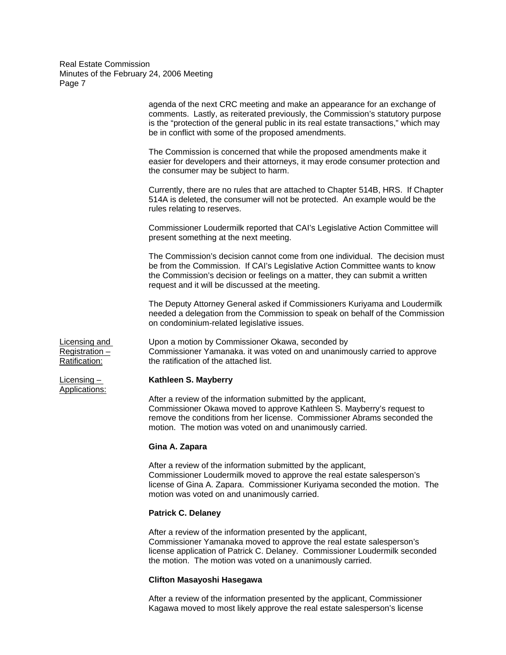|                                                 | Gina A. Zapara                                                                                                                                                                                                                                                                                             |
|-------------------------------------------------|------------------------------------------------------------------------------------------------------------------------------------------------------------------------------------------------------------------------------------------------------------------------------------------------------------|
|                                                 | After a review of the information submitted by the applicant,<br>Commissioner Okawa moved to approve Kathleen S. Mayberry's request to<br>remove the conditions from her license. Commissioner Abrams seconded the<br>motion. The motion was voted on and unanimously carried.                             |
| Licensing -<br>Applications:                    | Kathleen S. Mayberry                                                                                                                                                                                                                                                                                       |
| Licensing and<br>Registration-<br>Ratification: | Upon a motion by Commissioner Okawa, seconded by<br>Commissioner Yamanaka. it was voted on and unanimously carried to approve<br>the ratification of the attached list.                                                                                                                                    |
|                                                 | The Deputy Attorney General asked if Commissioners Kuriyama and Loudermilk<br>needed a delegation from the Commission to speak on behalf of the Commission<br>on condominium-related legislative issues.                                                                                                   |
|                                                 | The Commission's decision cannot come from one individual. The decision must<br>be from the Commission. If CAI's Legislative Action Committee wants to know<br>the Commission's decision or feelings on a matter, they can submit a written<br>request and it will be discussed at the meeting.            |
|                                                 | Commissioner Loudermilk reported that CAI's Legislative Action Committee will<br>present something at the next meeting.                                                                                                                                                                                    |
|                                                 | Currently, there are no rules that are attached to Chapter 514B, HRS. If Chapter<br>514A is deleted, the consumer will not be protected. An example would be the<br>rules relating to reserves.                                                                                                            |
|                                                 | The Commission is concerned that while the proposed amendments make it<br>easier for developers and their attorneys, it may erode consumer protection and<br>the consumer may be subject to harm.                                                                                                          |
|                                                 | agenda of the next CRC meeting and make an appearance for an exchange of<br>comments. Lastly, as reiterated previously, the Commission's statutory purpose<br>is the "protection of the general public in its real estate transactions," which may<br>be in conflict with some of the proposed amendments. |

After a review of the information submitted by the applicant, Commissioner Loudermilk moved to approve the real estate salesperson's license of Gina A. Zapara. Commissioner Kuriyama seconded the motion. The motion was voted on and unanimously carried.

### **Patrick C. Delaney**

After a review of the information presented by the applicant, Commissioner Yamanaka moved to approve the real estate salesperson's license application of Patrick C. Delaney. Commissioner Loudermilk seconded the motion. The motion was voted on a unanimously carried.

# **Clifton Masayoshi Hasegawa**

After a review of the information presented by the applicant, Commissioner Kagawa moved to most likely approve the real estate salesperson's license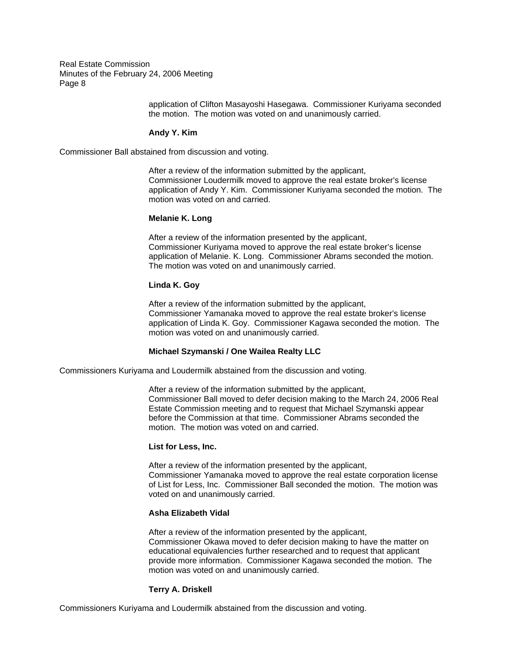> application of Clifton Masayoshi Hasegawa. Commissioner Kuriyama seconded the motion. The motion was voted on and unanimously carried.

#### **Andy Y. Kim**

Commissioner Ball abstained from discussion and voting.

After a review of the information submitted by the applicant, Commissioner Loudermilk moved to approve the real estate broker's license application of Andy Y. Kim. Commissioner Kuriyama seconded the motion. The motion was voted on and carried.

# **Melanie K. Long**

After a review of the information presented by the applicant, Commissioner Kuriyama moved to approve the real estate broker's license application of Melanie. K. Long. Commissioner Abrams seconded the motion. The motion was voted on and unanimously carried.

#### **Linda K. Goy**

After a review of the information submitted by the applicant, Commissioner Yamanaka moved to approve the real estate broker's license application of Linda K. Goy. Commissioner Kagawa seconded the motion. The motion was voted on and unanimously carried.

#### **Michael Szymanski / One Wailea Realty LLC**

Commissioners Kuriyama and Loudermilk abstained from the discussion and voting.

After a review of the information submitted by the applicant, Commissioner Ball moved to defer decision making to the March 24, 2006 Real Estate Commission meeting and to request that Michael Szymanski appear before the Commission at that time. Commissioner Abrams seconded the motion. The motion was voted on and carried.

#### **List for Less, Inc.**

After a review of the information presented by the applicant, Commissioner Yamanaka moved to approve the real estate corporation license of List for Less, Inc. Commissioner Ball seconded the motion. The motion was voted on and unanimously carried.

#### **Asha Elizabeth Vidal**

After a review of the information presented by the applicant, Commissioner Okawa moved to defer decision making to have the matter on educational equivalencies further researched and to request that applicant provide more information. Commissioner Kagawa seconded the motion. The motion was voted on and unanimously carried.

#### **Terry A. Driskell**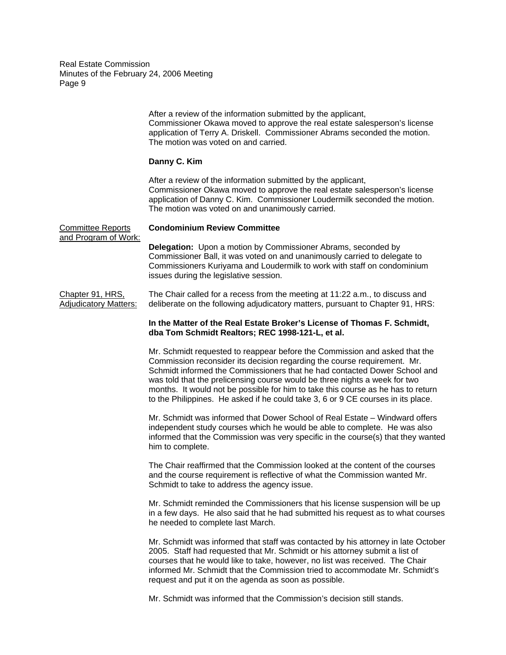> After a review of the information submitted by the applicant, Commissioner Okawa moved to approve the real estate salesperson's license application of Terry A. Driskell. Commissioner Abrams seconded the motion. The motion was voted on and carried.

## **Danny C. Kim**

After a review of the information submitted by the applicant, Commissioner Okawa moved to approve the real estate salesperson's license application of Danny C. Kim. Commissioner Loudermilk seconded the motion. The motion was voted on and unanimously carried.

Committee Reports **Condominium Review Committee**  and Program of Work: **Delegation:** Upon a motion by Commissioner Abrams, seconded by Commissioner Ball, it was voted on and unanimously carried to delegate to Commissioners Kuriyama and Loudermilk to work with staff on condominium issues during the legislative session.

Chapter 91, HRS, The Chair called for a recess from the meeting at 11:22 a.m., to discuss and Adjudicatory Matters: deliberate on the following adjudicatory matters, pursuant to Chapter 91, HRS:

## **In the Matter of the Real Estate Broker's License of Thomas F. Schmidt, dba Tom Schmidt Realtors; REC 1998-121-L, et al.**

Mr. Schmidt requested to reappear before the Commission and asked that the Commission reconsider its decision regarding the course requirement. Mr. Schmidt informed the Commissioners that he had contacted Dower School and was told that the prelicensing course would be three nights a week for two months. It would not be possible for him to take this course as he has to return to the Philippines. He asked if he could take 3, 6 or 9 CE courses in its place.

Mr. Schmidt was informed that Dower School of Real Estate – Windward offers independent study courses which he would be able to complete. He was also informed that the Commission was very specific in the course(s) that they wanted him to complete.

The Chair reaffirmed that the Commission looked at the content of the courses and the course requirement is reflective of what the Commission wanted Mr. Schmidt to take to address the agency issue.

Mr. Schmidt reminded the Commissioners that his license suspension will be up in a few days. He also said that he had submitted his request as to what courses he needed to complete last March.

Mr. Schmidt was informed that staff was contacted by his attorney in late October 2005. Staff had requested that Mr. Schmidt or his attorney submit a list of courses that he would like to take, however, no list was received. The Chair informed Mr. Schmidt that the Commission tried to accommodate Mr. Schmidt's request and put it on the agenda as soon as possible.

Mr. Schmidt was informed that the Commission's decision still stands.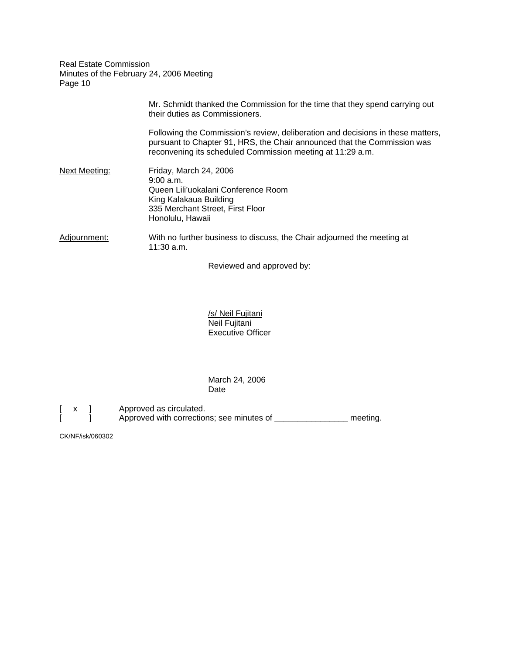|               | Mr. Schmidt thanked the Commission for the time that they spend carrying out<br>their duties as Commissioners.                                                                                                            |
|---------------|---------------------------------------------------------------------------------------------------------------------------------------------------------------------------------------------------------------------------|
|               | Following the Commission's review, deliberation and decisions in these matters,<br>pursuant to Chapter 91, HRS, the Chair announced that the Commission was<br>reconvening its scheduled Commission meeting at 11:29 a.m. |
| Next Meeting: | Friday, March 24, 2006<br>9:00a.m.<br>Queen Lili'uokalani Conference Room<br>King Kalakaua Building<br>335 Merchant Street, First Floor<br>Honolulu, Hawaii                                                               |
| Adjournment:  | With no further business to discuss, the Chair adjourned the meeting at<br>11:30 a.m.                                                                                                                                     |

Reviewed and approved by:

 /s/ Neil Fujitani Neil Fujitani Executive Officer

 March 24, 2006 Date

[ x ] Approved as circulated.<br>[ ] Approved with correction Approved with corrections; see minutes of \_\_\_\_\_\_\_\_\_\_\_\_\_\_\_\_\_ meeting.

CK/NF/isk/060302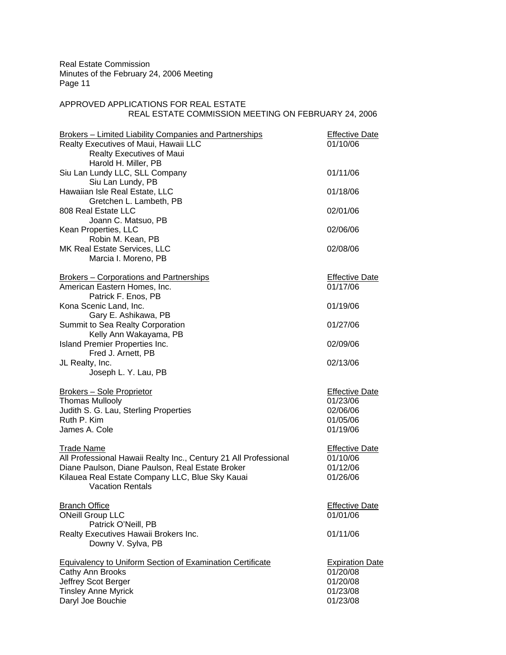# APPROVED APPLICATIONS FOR REAL ESTATE REAL ESTATE COMMISSION MEETING ON FEBRUARY 24, 2006

| <b>Brokers - Limited Liability Companies and Partnerships</b><br>Realty Executives of Maui, Hawaii LLC<br><b>Realty Executives of Maui</b><br>Harold H. Miller, PB                                                      | <b>Effective Date</b><br>01/10/06                                      |
|-------------------------------------------------------------------------------------------------------------------------------------------------------------------------------------------------------------------------|------------------------------------------------------------------------|
| Siu Lan Lundy LLC, SLL Company<br>Siu Lan Lundy, PB                                                                                                                                                                     | 01/11/06                                                               |
| Hawaiian Isle Real Estate, LLC<br>Gretchen L. Lambeth, PB                                                                                                                                                               | 01/18/06                                                               |
| 808 Real Estate LLC<br>Joann C. Matsuo, PB                                                                                                                                                                              | 02/01/06                                                               |
| Kean Properties, LLC<br>Robin M. Kean, PB                                                                                                                                                                               | 02/06/06                                                               |
| MK Real Estate Services, LLC<br>Marcia I. Moreno, PB                                                                                                                                                                    | 02/08/06                                                               |
| <b>Brokers - Corporations and Partnerships</b><br>American Eastern Homes, Inc.<br>Patrick F. Enos, PB                                                                                                                   | <b>Effective Date</b><br>01/17/06                                      |
| Kona Scenic Land, Inc.<br>Gary E. Ashikawa, PB                                                                                                                                                                          | 01/19/06                                                               |
| Summit to Sea Realty Corporation<br>Kelly Ann Wakayama, PB                                                                                                                                                              | 01/27/06                                                               |
| Island Premier Properties Inc.<br>Fred J. Arnett, PB                                                                                                                                                                    | 02/09/06                                                               |
| JL Realty, Inc.<br>Joseph L. Y. Lau, PB                                                                                                                                                                                 | 02/13/06                                                               |
| <b>Brokers - Sole Proprietor</b><br><b>Thomas Mullooly</b><br>Judith S. G. Lau, Sterling Properties<br>Ruth P. Kim<br>James A. Cole                                                                                     | <b>Effective Date</b><br>01/23/06<br>02/06/06<br>01/05/06<br>01/19/06  |
| <b>Trade Name</b><br>All Professional Hawaii Realty Inc., Century 21 All Professional<br>Diane Paulson, Diane Paulson, Real Estate Broker<br>Kilauea Real Estate Company LLC, Blue Sky Kauai<br><b>Vacation Rentals</b> | <b>Effective Date</b><br>01/10/06<br>01/12/06<br>01/26/06              |
| <b>Branch Office</b><br><b>ONeill Group LLC</b><br>Patrick O'Neill, PB                                                                                                                                                  | <b>Effective Date</b><br>01/01/06                                      |
| Realty Executives Hawaii Brokers Inc.<br>Downy V. Sylva, PB                                                                                                                                                             | 01/11/06                                                               |
| <b>Equivalency to Uniform Section of Examination Certificate</b><br>Cathy Ann Brooks<br>Jeffrey Scot Berger<br><b>Tinsley Anne Myrick</b><br>Daryl Joe Bouchie                                                          | <b>Expiration Date</b><br>01/20/08<br>01/20/08<br>01/23/08<br>01/23/08 |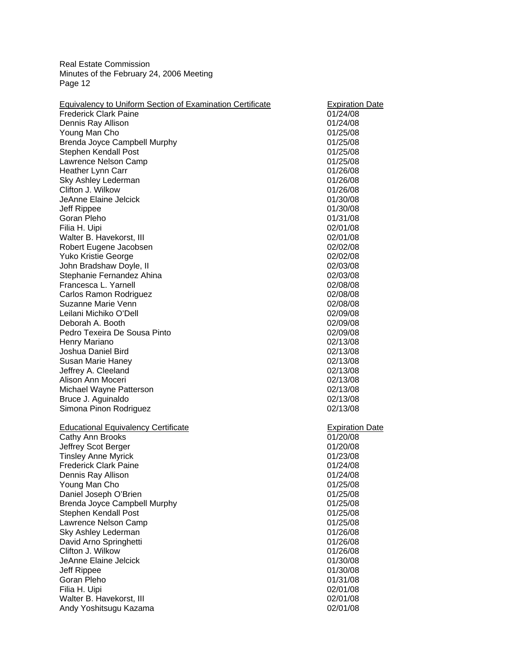| 01/24/08<br>01/24/08<br>01/25/08<br>01/25/08<br>01/25/08<br>01/25/08<br>01/26/08<br>01/26/08<br>01/26/08<br>01/30/08<br>01/30/08<br>01/31/08<br>02/01/08<br>02/01/08<br>02/02/08<br>02/02/08<br>02/03/08<br>02/03/08<br>02/08/08<br>02/08/08<br>02/08/08<br>02/09/08<br>02/09/08<br>02/09/08<br>02/13/08<br>02/13/08<br>02/13/08<br>02/13/08<br>02/13/08<br>02/13/08<br>02/13/08<br>02/13/08<br><b>Expiration Date</b><br>01/20/08<br>01/20/08<br>01/23/08<br>01/24/08<br>01/24/08<br>01/25/08<br>01/25/08<br>01/25/08<br>01/25/08<br>01/25/08<br>01/26/08<br>01/26/08<br>01/26/08<br>01/30/08<br>01/30/08 | <b>Frederick Clark Paine</b><br>Dennis Ray Allison<br>Young Man Cho<br>Brenda Joyce Campbell Murphy<br>Stephen Kendall Post<br>Lawrence Nelson Camp<br>Heather Lynn Carr<br>Sky Ashley Lederman<br>Clifton J. Wilkow<br>JeAnne Elaine Jelcick<br>Jeff Rippee<br>Goran Pleho<br>Filia H. Uipi<br>Walter B. Havekorst, III<br>Robert Eugene Jacobsen<br><b>Yuko Kristie George</b><br>John Bradshaw Doyle, II<br>Stephanie Fernandez Ahina<br>Francesca L. Yarnell<br>Carlos Ramon Rodriguez<br>Suzanne Marie Venn<br>Leilani Michiko O'Dell<br>Deborah A. Booth<br>Pedro Texeira De Sousa Pinto<br>Henry Mariano<br>Joshua Daniel Bird<br>Susan Marie Haney<br>Jeffrey A. Cleeland<br>Alison Ann Moceri<br>Michael Wayne Patterson<br>Bruce J. Aguinaldo<br>Simona Pinon Rodriguez<br><b>Educational Equivalency Certificate</b><br>Cathy Ann Brooks<br>Jeffrey Scot Berger<br><b>Tinsley Anne Myrick</b><br><b>Frederick Clark Paine</b><br>Dennis Ray Allison<br>Young Man Cho<br>Daniel Joseph O'Brien<br>Brenda Joyce Campbell Murphy<br>Stephen Kendall Post<br>Lawrence Nelson Camp<br>Sky Ashley Lederman<br>David Arno Springhetti<br>Clifton J. Wilkow<br>JeAnne Elaine Jelcick<br>Jeff Rippee<br>Goran Pleho<br>01/31/08<br>Filia H. Uipi<br>02/01/08 | <b>Equivalency to Uniform Section of Examination Certificate</b> | <b>Expiration Date</b> |
|------------------------------------------------------------------------------------------------------------------------------------------------------------------------------------------------------------------------------------------------------------------------------------------------------------------------------------------------------------------------------------------------------------------------------------------------------------------------------------------------------------------------------------------------------------------------------------------------------------|----------------------------------------------------------------------------------------------------------------------------------------------------------------------------------------------------------------------------------------------------------------------------------------------------------------------------------------------------------------------------------------------------------------------------------------------------------------------------------------------------------------------------------------------------------------------------------------------------------------------------------------------------------------------------------------------------------------------------------------------------------------------------------------------------------------------------------------------------------------------------------------------------------------------------------------------------------------------------------------------------------------------------------------------------------------------------------------------------------------------------------------------------------------------------------------------------------------------------------------------------------------|------------------------------------------------------------------|------------------------|
|                                                                                                                                                                                                                                                                                                                                                                                                                                                                                                                                                                                                            |                                                                                                                                                                                                                                                                                                                                                                                                                                                                                                                                                                                                                                                                                                                                                                                                                                                                                                                                                                                                                                                                                                                                                                                                                                                                |                                                                  |                        |
|                                                                                                                                                                                                                                                                                                                                                                                                                                                                                                                                                                                                            |                                                                                                                                                                                                                                                                                                                                                                                                                                                                                                                                                                                                                                                                                                                                                                                                                                                                                                                                                                                                                                                                                                                                                                                                                                                                |                                                                  |                        |
|                                                                                                                                                                                                                                                                                                                                                                                                                                                                                                                                                                                                            |                                                                                                                                                                                                                                                                                                                                                                                                                                                                                                                                                                                                                                                                                                                                                                                                                                                                                                                                                                                                                                                                                                                                                                                                                                                                |                                                                  |                        |
|                                                                                                                                                                                                                                                                                                                                                                                                                                                                                                                                                                                                            |                                                                                                                                                                                                                                                                                                                                                                                                                                                                                                                                                                                                                                                                                                                                                                                                                                                                                                                                                                                                                                                                                                                                                                                                                                                                |                                                                  |                        |
|                                                                                                                                                                                                                                                                                                                                                                                                                                                                                                                                                                                                            |                                                                                                                                                                                                                                                                                                                                                                                                                                                                                                                                                                                                                                                                                                                                                                                                                                                                                                                                                                                                                                                                                                                                                                                                                                                                |                                                                  |                        |
|                                                                                                                                                                                                                                                                                                                                                                                                                                                                                                                                                                                                            |                                                                                                                                                                                                                                                                                                                                                                                                                                                                                                                                                                                                                                                                                                                                                                                                                                                                                                                                                                                                                                                                                                                                                                                                                                                                |                                                                  |                        |
|                                                                                                                                                                                                                                                                                                                                                                                                                                                                                                                                                                                                            |                                                                                                                                                                                                                                                                                                                                                                                                                                                                                                                                                                                                                                                                                                                                                                                                                                                                                                                                                                                                                                                                                                                                                                                                                                                                |                                                                  |                        |
|                                                                                                                                                                                                                                                                                                                                                                                                                                                                                                                                                                                                            |                                                                                                                                                                                                                                                                                                                                                                                                                                                                                                                                                                                                                                                                                                                                                                                                                                                                                                                                                                                                                                                                                                                                                                                                                                                                |                                                                  |                        |
|                                                                                                                                                                                                                                                                                                                                                                                                                                                                                                                                                                                                            |                                                                                                                                                                                                                                                                                                                                                                                                                                                                                                                                                                                                                                                                                                                                                                                                                                                                                                                                                                                                                                                                                                                                                                                                                                                                |                                                                  |                        |
|                                                                                                                                                                                                                                                                                                                                                                                                                                                                                                                                                                                                            |                                                                                                                                                                                                                                                                                                                                                                                                                                                                                                                                                                                                                                                                                                                                                                                                                                                                                                                                                                                                                                                                                                                                                                                                                                                                |                                                                  |                        |
|                                                                                                                                                                                                                                                                                                                                                                                                                                                                                                                                                                                                            |                                                                                                                                                                                                                                                                                                                                                                                                                                                                                                                                                                                                                                                                                                                                                                                                                                                                                                                                                                                                                                                                                                                                                                                                                                                                |                                                                  |                        |
|                                                                                                                                                                                                                                                                                                                                                                                                                                                                                                                                                                                                            |                                                                                                                                                                                                                                                                                                                                                                                                                                                                                                                                                                                                                                                                                                                                                                                                                                                                                                                                                                                                                                                                                                                                                                                                                                                                |                                                                  |                        |
|                                                                                                                                                                                                                                                                                                                                                                                                                                                                                                                                                                                                            |                                                                                                                                                                                                                                                                                                                                                                                                                                                                                                                                                                                                                                                                                                                                                                                                                                                                                                                                                                                                                                                                                                                                                                                                                                                                |                                                                  |                        |
|                                                                                                                                                                                                                                                                                                                                                                                                                                                                                                                                                                                                            |                                                                                                                                                                                                                                                                                                                                                                                                                                                                                                                                                                                                                                                                                                                                                                                                                                                                                                                                                                                                                                                                                                                                                                                                                                                                |                                                                  |                        |
|                                                                                                                                                                                                                                                                                                                                                                                                                                                                                                                                                                                                            |                                                                                                                                                                                                                                                                                                                                                                                                                                                                                                                                                                                                                                                                                                                                                                                                                                                                                                                                                                                                                                                                                                                                                                                                                                                                |                                                                  |                        |
|                                                                                                                                                                                                                                                                                                                                                                                                                                                                                                                                                                                                            |                                                                                                                                                                                                                                                                                                                                                                                                                                                                                                                                                                                                                                                                                                                                                                                                                                                                                                                                                                                                                                                                                                                                                                                                                                                                |                                                                  |                        |
|                                                                                                                                                                                                                                                                                                                                                                                                                                                                                                                                                                                                            |                                                                                                                                                                                                                                                                                                                                                                                                                                                                                                                                                                                                                                                                                                                                                                                                                                                                                                                                                                                                                                                                                                                                                                                                                                                                |                                                                  |                        |
|                                                                                                                                                                                                                                                                                                                                                                                                                                                                                                                                                                                                            |                                                                                                                                                                                                                                                                                                                                                                                                                                                                                                                                                                                                                                                                                                                                                                                                                                                                                                                                                                                                                                                                                                                                                                                                                                                                |                                                                  |                        |
|                                                                                                                                                                                                                                                                                                                                                                                                                                                                                                                                                                                                            |                                                                                                                                                                                                                                                                                                                                                                                                                                                                                                                                                                                                                                                                                                                                                                                                                                                                                                                                                                                                                                                                                                                                                                                                                                                                |                                                                  |                        |
|                                                                                                                                                                                                                                                                                                                                                                                                                                                                                                                                                                                                            |                                                                                                                                                                                                                                                                                                                                                                                                                                                                                                                                                                                                                                                                                                                                                                                                                                                                                                                                                                                                                                                                                                                                                                                                                                                                |                                                                  |                        |
|                                                                                                                                                                                                                                                                                                                                                                                                                                                                                                                                                                                                            |                                                                                                                                                                                                                                                                                                                                                                                                                                                                                                                                                                                                                                                                                                                                                                                                                                                                                                                                                                                                                                                                                                                                                                                                                                                                |                                                                  |                        |
|                                                                                                                                                                                                                                                                                                                                                                                                                                                                                                                                                                                                            |                                                                                                                                                                                                                                                                                                                                                                                                                                                                                                                                                                                                                                                                                                                                                                                                                                                                                                                                                                                                                                                                                                                                                                                                                                                                |                                                                  |                        |
|                                                                                                                                                                                                                                                                                                                                                                                                                                                                                                                                                                                                            |                                                                                                                                                                                                                                                                                                                                                                                                                                                                                                                                                                                                                                                                                                                                                                                                                                                                                                                                                                                                                                                                                                                                                                                                                                                                |                                                                  |                        |
|                                                                                                                                                                                                                                                                                                                                                                                                                                                                                                                                                                                                            |                                                                                                                                                                                                                                                                                                                                                                                                                                                                                                                                                                                                                                                                                                                                                                                                                                                                                                                                                                                                                                                                                                                                                                                                                                                                |                                                                  |                        |
|                                                                                                                                                                                                                                                                                                                                                                                                                                                                                                                                                                                                            |                                                                                                                                                                                                                                                                                                                                                                                                                                                                                                                                                                                                                                                                                                                                                                                                                                                                                                                                                                                                                                                                                                                                                                                                                                                                |                                                                  |                        |
|                                                                                                                                                                                                                                                                                                                                                                                                                                                                                                                                                                                                            |                                                                                                                                                                                                                                                                                                                                                                                                                                                                                                                                                                                                                                                                                                                                                                                                                                                                                                                                                                                                                                                                                                                                                                                                                                                                |                                                                  |                        |
|                                                                                                                                                                                                                                                                                                                                                                                                                                                                                                                                                                                                            |                                                                                                                                                                                                                                                                                                                                                                                                                                                                                                                                                                                                                                                                                                                                                                                                                                                                                                                                                                                                                                                                                                                                                                                                                                                                |                                                                  |                        |
|                                                                                                                                                                                                                                                                                                                                                                                                                                                                                                                                                                                                            |                                                                                                                                                                                                                                                                                                                                                                                                                                                                                                                                                                                                                                                                                                                                                                                                                                                                                                                                                                                                                                                                                                                                                                                                                                                                |                                                                  |                        |
|                                                                                                                                                                                                                                                                                                                                                                                                                                                                                                                                                                                                            |                                                                                                                                                                                                                                                                                                                                                                                                                                                                                                                                                                                                                                                                                                                                                                                                                                                                                                                                                                                                                                                                                                                                                                                                                                                                |                                                                  |                        |
|                                                                                                                                                                                                                                                                                                                                                                                                                                                                                                                                                                                                            |                                                                                                                                                                                                                                                                                                                                                                                                                                                                                                                                                                                                                                                                                                                                                                                                                                                                                                                                                                                                                                                                                                                                                                                                                                                                |                                                                  |                        |
|                                                                                                                                                                                                                                                                                                                                                                                                                                                                                                                                                                                                            |                                                                                                                                                                                                                                                                                                                                                                                                                                                                                                                                                                                                                                                                                                                                                                                                                                                                                                                                                                                                                                                                                                                                                                                                                                                                |                                                                  |                        |
|                                                                                                                                                                                                                                                                                                                                                                                                                                                                                                                                                                                                            |                                                                                                                                                                                                                                                                                                                                                                                                                                                                                                                                                                                                                                                                                                                                                                                                                                                                                                                                                                                                                                                                                                                                                                                                                                                                |                                                                  |                        |
|                                                                                                                                                                                                                                                                                                                                                                                                                                                                                                                                                                                                            |                                                                                                                                                                                                                                                                                                                                                                                                                                                                                                                                                                                                                                                                                                                                                                                                                                                                                                                                                                                                                                                                                                                                                                                                                                                                |                                                                  |                        |
|                                                                                                                                                                                                                                                                                                                                                                                                                                                                                                                                                                                                            |                                                                                                                                                                                                                                                                                                                                                                                                                                                                                                                                                                                                                                                                                                                                                                                                                                                                                                                                                                                                                                                                                                                                                                                                                                                                |                                                                  |                        |
|                                                                                                                                                                                                                                                                                                                                                                                                                                                                                                                                                                                                            |                                                                                                                                                                                                                                                                                                                                                                                                                                                                                                                                                                                                                                                                                                                                                                                                                                                                                                                                                                                                                                                                                                                                                                                                                                                                |                                                                  |                        |
|                                                                                                                                                                                                                                                                                                                                                                                                                                                                                                                                                                                                            |                                                                                                                                                                                                                                                                                                                                                                                                                                                                                                                                                                                                                                                                                                                                                                                                                                                                                                                                                                                                                                                                                                                                                                                                                                                                |                                                                  |                        |
|                                                                                                                                                                                                                                                                                                                                                                                                                                                                                                                                                                                                            |                                                                                                                                                                                                                                                                                                                                                                                                                                                                                                                                                                                                                                                                                                                                                                                                                                                                                                                                                                                                                                                                                                                                                                                                                                                                |                                                                  |                        |
|                                                                                                                                                                                                                                                                                                                                                                                                                                                                                                                                                                                                            |                                                                                                                                                                                                                                                                                                                                                                                                                                                                                                                                                                                                                                                                                                                                                                                                                                                                                                                                                                                                                                                                                                                                                                                                                                                                |                                                                  |                        |
|                                                                                                                                                                                                                                                                                                                                                                                                                                                                                                                                                                                                            |                                                                                                                                                                                                                                                                                                                                                                                                                                                                                                                                                                                                                                                                                                                                                                                                                                                                                                                                                                                                                                                                                                                                                                                                                                                                |                                                                  |                        |
|                                                                                                                                                                                                                                                                                                                                                                                                                                                                                                                                                                                                            |                                                                                                                                                                                                                                                                                                                                                                                                                                                                                                                                                                                                                                                                                                                                                                                                                                                                                                                                                                                                                                                                                                                                                                                                                                                                |                                                                  |                        |
|                                                                                                                                                                                                                                                                                                                                                                                                                                                                                                                                                                                                            |                                                                                                                                                                                                                                                                                                                                                                                                                                                                                                                                                                                                                                                                                                                                                                                                                                                                                                                                                                                                                                                                                                                                                                                                                                                                |                                                                  |                        |
|                                                                                                                                                                                                                                                                                                                                                                                                                                                                                                                                                                                                            |                                                                                                                                                                                                                                                                                                                                                                                                                                                                                                                                                                                                                                                                                                                                                                                                                                                                                                                                                                                                                                                                                                                                                                                                                                                                |                                                                  |                        |
|                                                                                                                                                                                                                                                                                                                                                                                                                                                                                                                                                                                                            |                                                                                                                                                                                                                                                                                                                                                                                                                                                                                                                                                                                                                                                                                                                                                                                                                                                                                                                                                                                                                                                                                                                                                                                                                                                                |                                                                  |                        |
|                                                                                                                                                                                                                                                                                                                                                                                                                                                                                                                                                                                                            |                                                                                                                                                                                                                                                                                                                                                                                                                                                                                                                                                                                                                                                                                                                                                                                                                                                                                                                                                                                                                                                                                                                                                                                                                                                                |                                                                  |                        |
|                                                                                                                                                                                                                                                                                                                                                                                                                                                                                                                                                                                                            |                                                                                                                                                                                                                                                                                                                                                                                                                                                                                                                                                                                                                                                                                                                                                                                                                                                                                                                                                                                                                                                                                                                                                                                                                                                                |                                                                  |                        |
|                                                                                                                                                                                                                                                                                                                                                                                                                                                                                                                                                                                                            |                                                                                                                                                                                                                                                                                                                                                                                                                                                                                                                                                                                                                                                                                                                                                                                                                                                                                                                                                                                                                                                                                                                                                                                                                                                                |                                                                  |                        |
|                                                                                                                                                                                                                                                                                                                                                                                                                                                                                                                                                                                                            |                                                                                                                                                                                                                                                                                                                                                                                                                                                                                                                                                                                                                                                                                                                                                                                                                                                                                                                                                                                                                                                                                                                                                                                                                                                                |                                                                  |                        |
|                                                                                                                                                                                                                                                                                                                                                                                                                                                                                                                                                                                                            |                                                                                                                                                                                                                                                                                                                                                                                                                                                                                                                                                                                                                                                                                                                                                                                                                                                                                                                                                                                                                                                                                                                                                                                                                                                                |                                                                  |                        |
|                                                                                                                                                                                                                                                                                                                                                                                                                                                                                                                                                                                                            |                                                                                                                                                                                                                                                                                                                                                                                                                                                                                                                                                                                                                                                                                                                                                                                                                                                                                                                                                                                                                                                                                                                                                                                                                                                                |                                                                  |                        |
|                                                                                                                                                                                                                                                                                                                                                                                                                                                                                                                                                                                                            |                                                                                                                                                                                                                                                                                                                                                                                                                                                                                                                                                                                                                                                                                                                                                                                                                                                                                                                                                                                                                                                                                                                                                                                                                                                                |                                                                  |                        |
|                                                                                                                                                                                                                                                                                                                                                                                                                                                                                                                                                                                                            |                                                                                                                                                                                                                                                                                                                                                                                                                                                                                                                                                                                                                                                                                                                                                                                                                                                                                                                                                                                                                                                                                                                                                                                                                                                                |                                                                  |                        |
|                                                                                                                                                                                                                                                                                                                                                                                                                                                                                                                                                                                                            |                                                                                                                                                                                                                                                                                                                                                                                                                                                                                                                                                                                                                                                                                                                                                                                                                                                                                                                                                                                                                                                                                                                                                                                                                                                                | Walter B. Havekorst, III                                         | 02/01/08               |
|                                                                                                                                                                                                                                                                                                                                                                                                                                                                                                                                                                                                            | Andy Yoshitsugu Kazama<br>02/01/08                                                                                                                                                                                                                                                                                                                                                                                                                                                                                                                                                                                                                                                                                                                                                                                                                                                                                                                                                                                                                                                                                                                                                                                                                             |                                                                  |                        |
|                                                                                                                                                                                                                                                                                                                                                                                                                                                                                                                                                                                                            |                                                                                                                                                                                                                                                                                                                                                                                                                                                                                                                                                                                                                                                                                                                                                                                                                                                                                                                                                                                                                                                                                                                                                                                                                                                                |                                                                  |                        |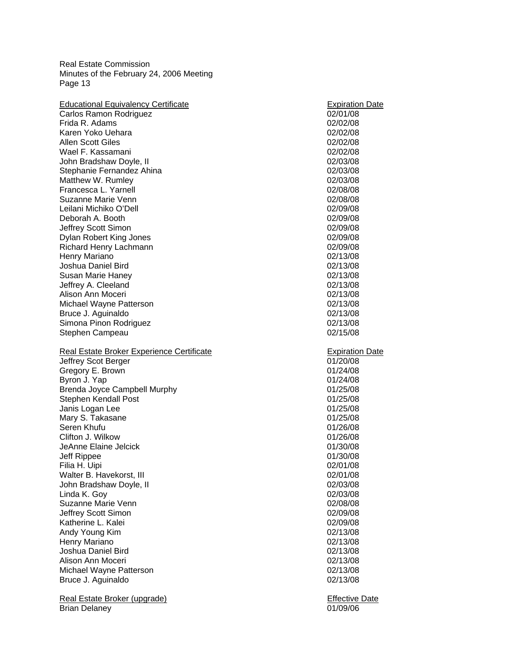| <b>Educational Equivalency Certificate</b>           | <b>Expiration Date</b>            |
|------------------------------------------------------|-----------------------------------|
| Carlos Ramon Rodriguez                               | 02/01/08                          |
| Frida R. Adams                                       | 02/02/08                          |
| Karen Yoko Uehara                                    | 02/02/08                          |
| <b>Allen Scott Giles</b>                             | 02/02/08                          |
| Wael F. Kassamani                                    | 02/02/08                          |
| John Bradshaw Doyle, II                              | 02/03/08                          |
| Stephanie Fernandez Ahina                            | 02/03/08                          |
| Matthew W. Rumley                                    | 02/03/08                          |
| Francesca L. Yarnell                                 | 02/08/08                          |
| Suzanne Marie Venn                                   | 02/08/08                          |
| Leilani Michiko O'Dell                               | 02/09/08                          |
| Deborah A. Booth                                     | 02/09/08                          |
| Jeffrey Scott Simon                                  | 02/09/08                          |
| Dylan Robert King Jones                              | 02/09/08                          |
| Richard Henry Lachmann                               | 02/09/08                          |
| Henry Mariano                                        | 02/13/08                          |
| Joshua Daniel Bird                                   | 02/13/08                          |
| Susan Marie Haney                                    | 02/13/08                          |
| Jeffrey A. Cleeland                                  | 02/13/08                          |
| Alison Ann Moceri                                    |                                   |
|                                                      | 02/13/08                          |
| Michael Wayne Patterson                              | 02/13/08                          |
| Bruce J. Aguinaldo                                   | 02/13/08                          |
| Simona Pinon Rodriguez                               | 02/13/08                          |
| Stephen Campeau                                      | 02/15/08                          |
|                                                      |                                   |
|                                                      |                                   |
| Real Estate Broker Experience Certificate            | <b>Expiration Date</b>            |
| Jeffrey Scot Berger                                  | 01/20/08                          |
| Gregory E. Brown                                     | 01/24/08                          |
| Byron J. Yap                                         | 01/24/08                          |
| Brenda Joyce Campbell Murphy                         | 01/25/08                          |
| Stephen Kendall Post                                 | 01/25/08                          |
| Janis Logan Lee                                      | 01/25/08                          |
| Mary S. Takasane                                     | 01/25/08                          |
| Seren Khufu                                          | 01/26/08                          |
| Clifton J. Wilkow                                    | 01/26/08                          |
| JeAnne Elaine Jelcick                                | 01/30/08                          |
| Jeff Rippee                                          | 01/30/08                          |
| Filia H. Uipi                                        | 02/01/08                          |
| Walter B. Havekorst, III                             | 02/01/08                          |
| John Bradshaw Doyle, II                              | 02/03/08                          |
| Linda K. Goy                                         | 02/03/08                          |
| Suzanne Marie Venn                                   | 02/08/08                          |
| Jeffrey Scott Simon                                  | 02/09/08                          |
| Katherine L. Kalei                                   | 02/09/08                          |
| Andy Young Kim                                       | 02/13/08                          |
| Henry Mariano                                        | 02/13/08                          |
| Joshua Daniel Bird                                   | 02/13/08                          |
| Alison Ann Moceri                                    | 02/13/08                          |
| Michael Wayne Patterson                              | 02/13/08                          |
| Bruce J. Aguinaldo                                   | 02/13/08                          |
|                                                      |                                   |
| Real Estate Broker (upgrade)<br><b>Brian Delaney</b> | <b>Effective Date</b><br>01/09/06 |